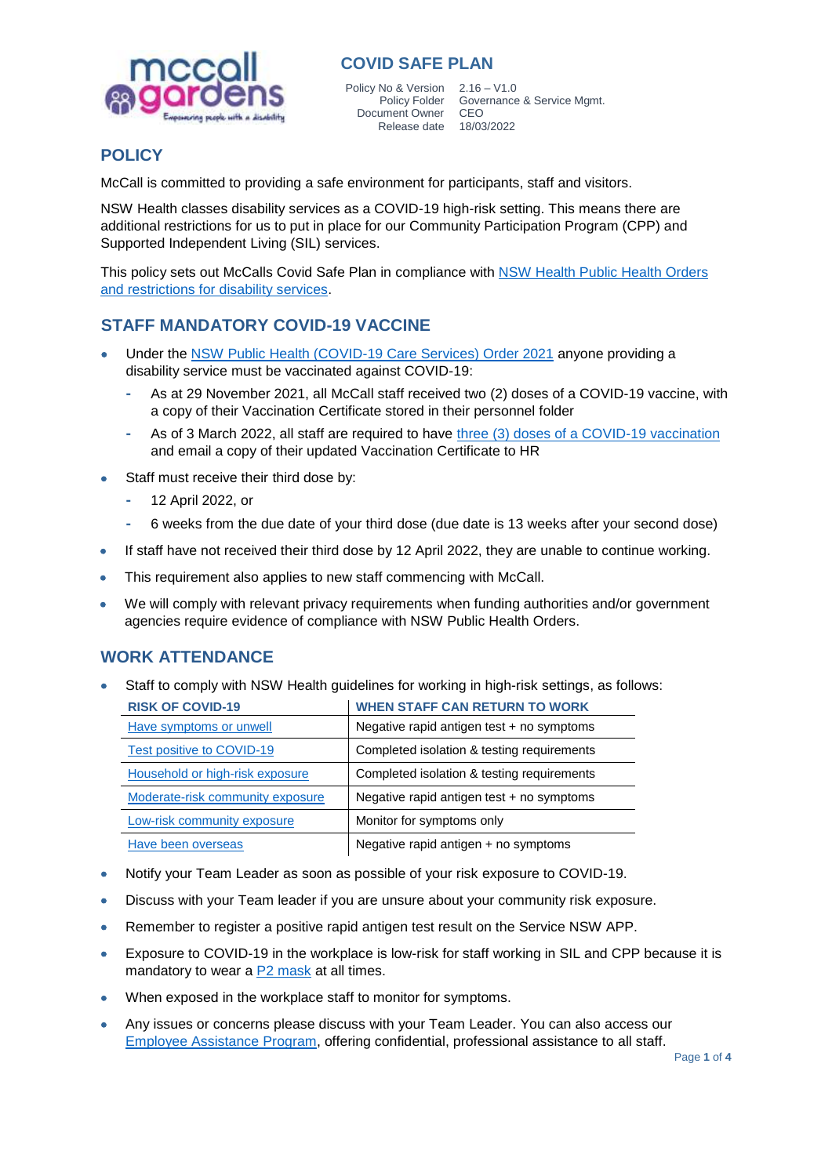

Policy No & Version 2.16 – V1.0 Document Owner CEO

Policy Folder Governance & Service Mgmt. Release date 18/03/2022

# **POLICY**

McCall is committed to providing a safe environment for participants, staff and visitors.

NSW Health classes disability services as a COVID-19 high-risk setting. This means there are additional restrictions for us to put in place for our Community Participation Program (CPP) and Supported Independent Living (SIL) services.

This policy sets out McCalls Covid Safe Plan in compliance with [NSW Health Public Health Orders](https://www.health.nsw.gov.au/Infectious/covid-19/Pages/disability-support.aspx)  [and restrictions for disability services.](https://www.health.nsw.gov.au/Infectious/covid-19/Pages/disability-support.aspx)

## **STAFF MANDATORY COVID-19 VACCINE**

- Under the [NSW Public Health \(COVID-19 Care Services\) Order 2021](https://www.health.nsw.gov.au/Infectious/covid-19/vaccine/Pages/disability-services.aspx) anyone providing a disability service must be vaccinated against COVID-19:
	- **-** As at 29 November 2021, all McCall staff received two (2) doses of a COVID-19 vaccine, with a copy of their Vaccination Certificate stored in their personnel folder
	- **-** As of 3 March 2022, all staff are required to have [three \(3\) doses of a COVID-19 vaccination](https://www.health.nsw.gov.au/Infectious/covid-19/Pages/disability-latest-advice.aspx) and email a copy of their updated Vaccination Certificate to HR
- Staff must receive their third dose by:
	- **-** 12 April 2022, or
	- **-** 6 weeks from the due date of your third dose (due date is 13 weeks after your second dose)
- If staff have not received their third dose by 12 April 2022, they are unable to continue working.
- This requirement also applies to new staff commencing with McCall.
- We will comply with relevant privacy requirements when funding authorities and/or government agencies require evidence of compliance with NSW Public Health Orders.

#### **WORK ATTENDANCE**

Staff to comply with NSW Health guidelines for working in high-risk settings, as follows:

| <b>RISK OF COVID-19</b>          | <b>WHEN STAFF CAN RETURN TO WORK</b>       |
|----------------------------------|--------------------------------------------|
| Have symptoms or unwell          | Negative rapid antigen test + no symptoms  |
| Test positive to COVID-19        | Completed isolation & testing requirements |
| Household or high-risk exposure  | Completed isolation & testing requirements |
| Moderate-risk community exposure | Negative rapid antigen test + no symptoms  |
| Low-risk community exposure      | Monitor for symptoms only                  |
| Have been overseas               | Negative rapid antigen + no symptoms       |

- Notify your Team Leader as soon as possible of your risk exposure to COVID-19.
- Discuss with your Team leader if you are unsure about your community risk exposure.
- Remember to register a positive rapid antigen test result on the Service NSW APP.
- Exposure to COVID-19 in the workplace is low-risk for staff working in SIL and CPP because it is mandatory to wear a [P2 mask](file://///mccall.local/mcg/Data/Common/Quality%20Management%20System/7.%20Appendices/A3.7.4-Fit-checking-P2-N95%20Masks-Poster.pdf) at all times.
- When exposed in the workplace staff to monitor for symptoms.
- Any issues or concerns please discuss with your Team Leader. You can also access our [Employee Assistance Program,](file://///mccall.local/mcg/Data/Common/Quality%20Management%20System/6.%20Human%20Resources/6.7%20Employee%20Assistance%20Program.pdf) offering confidential, professional assistance to all staff.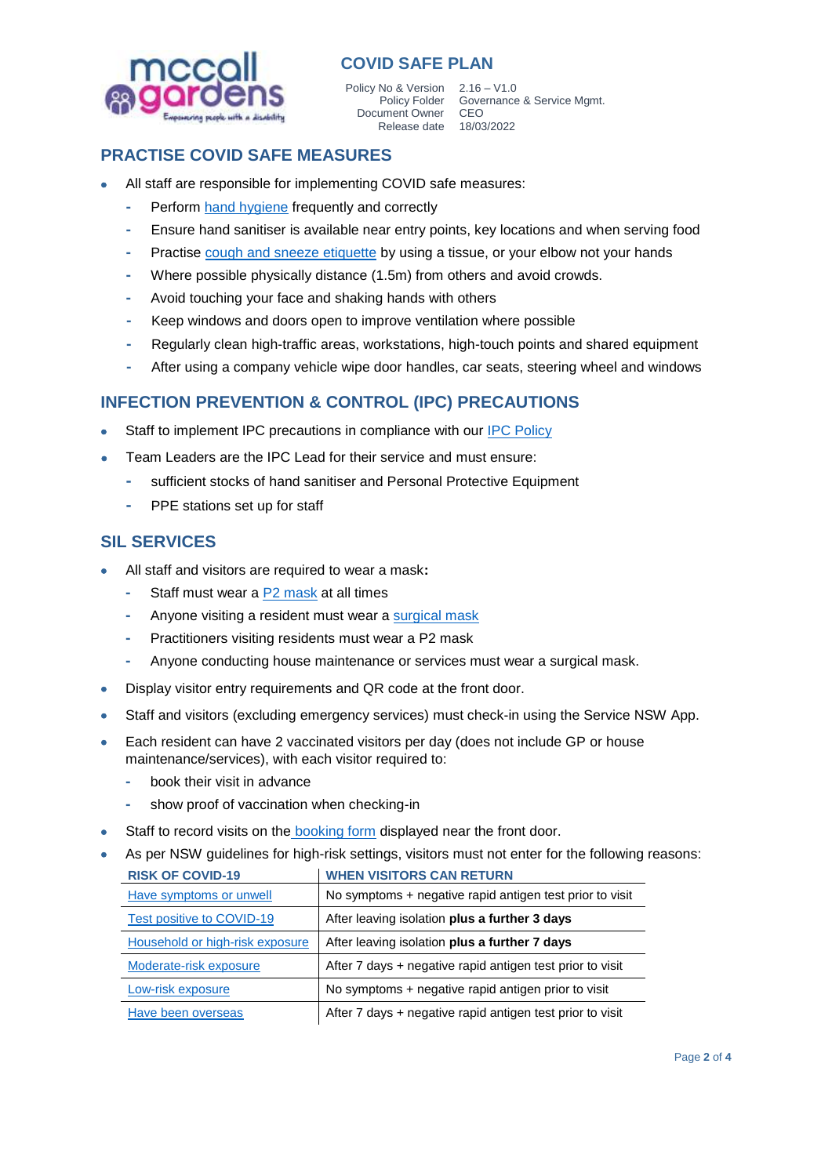

Policy No & Version 2.16 – V1.0 Document Owner CEO

Policy Folder Governance & Service Mgmt. Release date 18/03/2022

## **PRACTISE COVID SAFE MEASURES**

- All staff are responsible for implementing COVID safe measures:
	- **-** Perform [hand hygiene](file://///mccall.local/mcg/Data/Common/Quality%20Management%20System/7.%20Appendices/A3.7.1-Performing-Hand-Hygiene-Poster.pdf) frequently and correctly
	- **-** Ensure hand sanitiser is available near entry points, key locations and when serving food
	- **-** Practise [cough and sneeze etiquette](file://///mccall.local/mcg/Data/Common/Quality%20Management%20System/7.%20Appendices/A3.7.2-Respiratory-Hygiene-&-Cough-Etiquette-A3-Poster.pdf) by using a tissue, or your elbow not your hands
	- **-** Where possible physically distance (1.5m) from others and avoid crowds.
	- **-** Avoid touching your face and shaking hands with others
	- **-** Keep windows and doors open to improve ventilation where possible
	- **-** Regularly clean high-traffic areas, workstations, high-touch points and shared equipment
	- **-** After using a company vehicle wipe door handles, car seats, steering wheel and windows

## **INFECTION PREVENTION & CONTROL (IPC) PRECAUTIONS**

- Staff to implement IPC precautions in compliance with our [IPC Policy](file://///mccall.local/mcg/Data/Common/Quality%20Management%20System/3.%20Work%20Health%20&%20Safety/3.7%20Infection%20Prevention%20&%20Control.pdf)
- Team Leaders are the IPC Lead for their service and must ensure:
	- **-** sufficient stocks of hand sanitiser and Personal Protective Equipment
	- **-** PPE stations set up for staff

#### **SIL SERVICES**

- All staff and visitors are required to wear a mask**:**
	- **-** Staff must wear a [P2 mask](file://///mccall.local/mcg/Data/Common/Quality%20Management%20System/7.%20Appendices/A3.7.4-Fit-checking-P2-N95%20Masks-Poster.pdf) at all times
	- **-** Anyone visiting a resident must wear a [surgical mask](file://///mccall.local/mcg/Data/Common/Quality%20Management%20System/7.%20Appendices/A3.7.5-How-to-wear-a-face-mask-safely-poster.pdf)
	- **-** Practitioners visiting residents must wear a P2 mask
	- **-** Anyone conducting house maintenance or services must wear a surgical mask.
- Display visitor entry requirements and QR code at the front door.
- Staff and visitors (excluding emergency services) must check-in using the Service NSW App.
- Each resident can have 2 vaccinated visitors per day (does not include GP or house maintenance/services), with each visitor required to:
	- **-** book their visit in advance
	- **-** show proof of vaccination when checking-in
- Staff to record visits on the [booking form](file://///mccall.local/mcg/Data/Common/Quality%20Management%20System/7.%20Appendices/A2.17.1-SIL%20Visitor%20Booking%20Form.docx) displayed near the front door.

| As per NSW guidelines for high-risk settings, visitors must not enter for the following reasons: |                                |  |  |
|--------------------------------------------------------------------------------------------------|--------------------------------|--|--|
| DICK OF COUD 40                                                                                  | <b>MUEL MOTODO CAN DETUDAL</b> |  |  |

| <b>RISK OF COVID-19</b>          | <b>WHEN VISITORS CAN RETURN</b>                           |
|----------------------------------|-----------------------------------------------------------|
| Have symptoms or unwell          | No symptoms + negative rapid antigen test prior to visit  |
| <b>Test positive to COVID-19</b> | After leaving isolation plus a further 3 days             |
| Household or high-risk exposure  | After leaving isolation plus a further 7 days             |
| Moderate-risk exposure           | After 7 days + negative rapid antigen test prior to visit |
| Low-risk exposure                | No symptoms + negative rapid antigen prior to visit       |
| Have been overseas               | After 7 days + negative rapid antigen test prior to visit |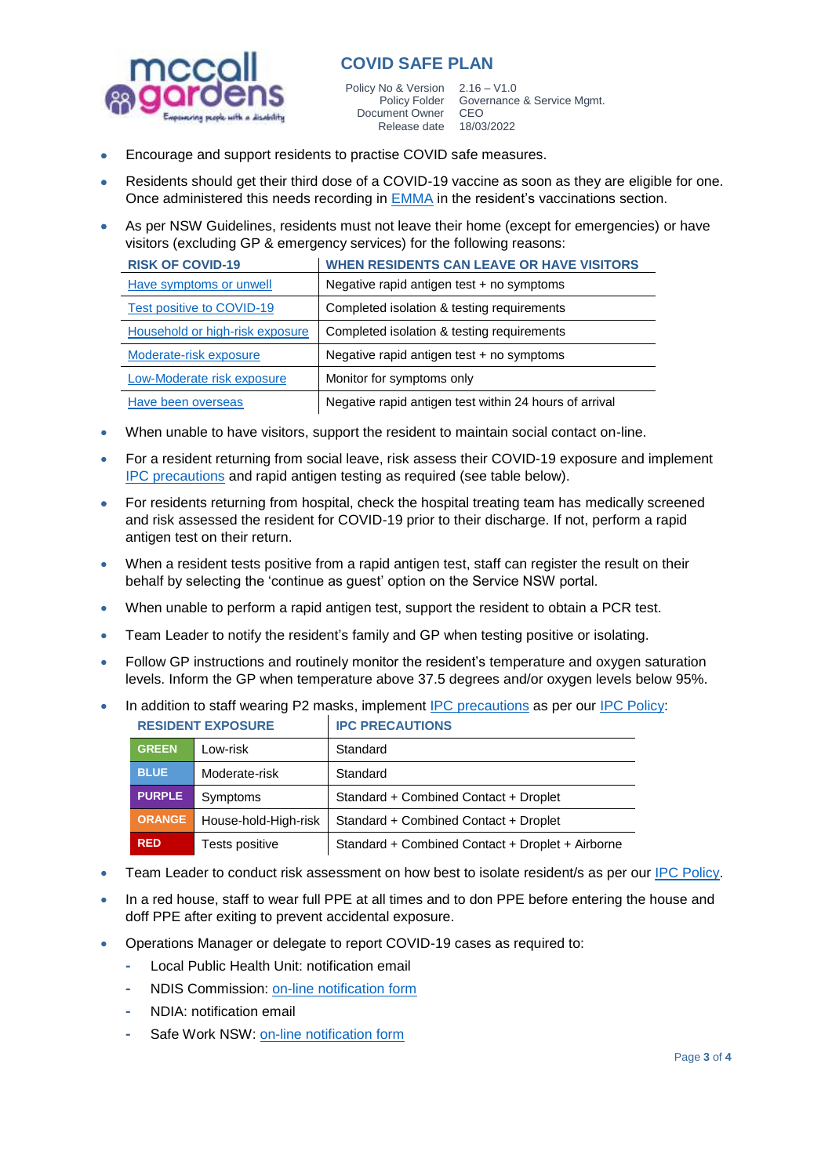

Policy No & Version 2.16 – V1.0 Document Owner CEO Release date 18/03/2022

Policy Folder Governance & Service Mgmt.

- Encourage and support residents to practise COVID safe measures.
- Residents should get their third dose of a COVID-19 vaccine as soon as they are eligible for one. Once administered this needs recording in [EMMA](https://emma.compactcare.com.au/#!/signin) in the resident's vaccinations section.
- As per NSW Guidelines, residents must not leave their home (except for emergencies) or have visitors (excluding GP & emergency services) for the following reasons:

| <b>RISK OF COVID-19</b>          | <b>WHEN RESIDENTS CAN LEAVE OR HAVE VISITORS</b>       |
|----------------------------------|--------------------------------------------------------|
| Have symptoms or unwell          | Negative rapid antigen test $+$ no symptoms            |
| <b>Test positive to COVID-19</b> | Completed isolation & testing requirements             |
| Household or high-risk exposure  | Completed isolation & testing requirements             |
| Moderate-risk exposure           | Negative rapid antigen test + no symptoms              |
| Low-Moderate risk exposure       | Monitor for symptoms only                              |
| Have been overseas               | Negative rapid antigen test within 24 hours of arrival |

- When unable to have visitors, support the resident to maintain social contact on-line.
- For a resident returning from social leave, risk assess their COVID-19 exposure and implement [IPC precautions](file://///mccall.local/mcg/Data/Common/Quality%20Management%20System/3.%20Work%20Health%20&%20Safety/3.7%20Infection%20Prevention%20&%20Control.pdf) and rapid antigen testing as required (see table below).
- For residents returning from hospital, check the hospital treating team has medically screened and risk assessed the resident for COVID-19 prior to their discharge. If not, perform a rapid antigen test on their return.
- When a resident tests positive from a rapid antigen test, staff can register the result on their behalf by selecting the 'continue as guest' option on the Service NSW portal.
- When unable to perform a rapid antigen test, support the resident to obtain a PCR test.
- Team Leader to notify the resident's family and GP when testing positive or isolating.
- Follow GP instructions and routinely monitor the resident's temperature and oxygen saturation levels. Inform the GP when temperature above 37.5 degrees and/or oxygen levels below 95%.
- In addition to staff wearing P2 masks, implemen[t IPC precautions](file://///mccall.local/mcg/Data/Common/Quality%20Management%20System/3.%20Work%20Health%20&%20Safety/3.7%20Infection%20Prevention%20&%20Control.pdf) as per our [IPC Policy:](file://///mccall.local/mcg/Data/Common/Quality%20Management%20System/3.%20Work%20Health%20&%20Safety/3.7%20Infection%20Prevention%20&%20Control.pdf)

| <b>RESIDENT EXPOSURE</b> |                      | <b>IPC PRECAUTIONS</b>                           |
|--------------------------|----------------------|--------------------------------------------------|
| <b>GREEN</b>             | Low-risk             | Standard                                         |
| <b>BLUE</b>              | Moderate-risk        | Standard                                         |
| <b>PURPLE</b>            | Symptoms             | Standard + Combined Contact + Droplet            |
| <b>ORANGE</b>            | House-hold-High-risk | Standard + Combined Contact + Droplet            |
| <b>RED</b>               | Tests positive       | Standard + Combined Contact + Droplet + Airborne |

- Team Leader to conduct risk assessment on how best to isolate resident/s as per our [IPC Policy.](file://///mccall.local/mcg/Data/Common/Quality%20Management%20System/3.%20Work%20Health%20&%20Safety/3.7%20Infection%20Prevention%20&%20Control.pdf)
- In a red house, staff to wear full PPE at all times and to don PPE before entering the house and doff PPE after exiting to prevent accidental exposure.
- Operations Manager or delegate to report COVID-19 cases as required to:
	- **-** Local Public Health Unit: notification email
	- **-** NDIS Commission: [on-line notification form](https://www.ndiscommission.gov.au/providers/notice-changes-events/notification-covid-19)
	- **-** NDIA: notification email
	- **-** Safe Work NSW: [on-line notification form](https://www.safework.nsw.gov.au/resource-library/COVID-19-Coronavirus)